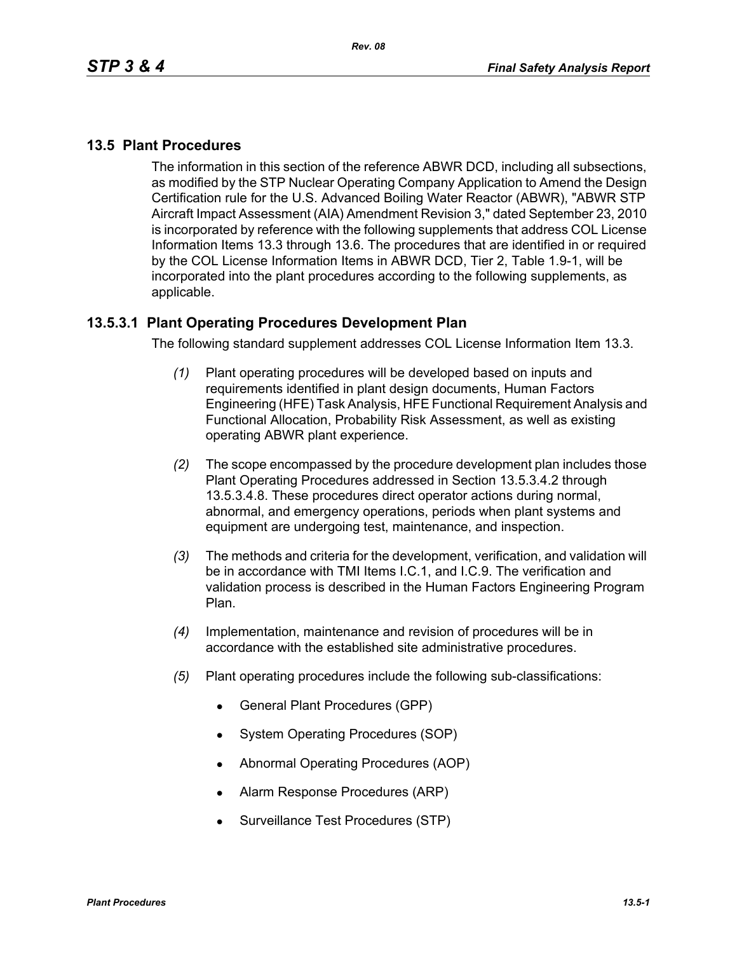## **13.5 Plant Procedures**

The information in this section of the reference ABWR DCD, including all subsections, as modified by the STP Nuclear Operating Company Application to Amend the Design Certification rule for the U.S. Advanced Boiling Water Reactor (ABWR), "ABWR STP Aircraft Impact Assessment (AIA) Amendment Revision 3," dated September 23, 2010 is incorporated by reference with the following supplements that address COL License Information Items 13.3 through 13.6. The procedures that are identified in or required by the COL License Information Items in ABWR DCD, Tier 2, Table 1.9-1, will be incorporated into the plant procedures according to the following supplements, as applicable.

## **13.5.3.1 Plant Operating Procedures Development Plan**

The following standard supplement addresses COL License Information Item 13.3.

- *(1)* Plant operating procedures will be developed based on inputs and requirements identified in plant design documents, Human Factors Engineering (HFE) Task Analysis, HFE Functional Requirement Analysis and Functional Allocation, Probability Risk Assessment, as well as existing operating ABWR plant experience.
- *(2)* The scope encompassed by the procedure development plan includes those Plant Operating Procedures addressed in Section 13.5.3.4.2 through 13.5.3.4.8. These procedures direct operator actions during normal, abnormal, and emergency operations, periods when plant systems and equipment are undergoing test, maintenance, and inspection.
- *(3)* The methods and criteria for the development, verification, and validation will be in accordance with TMI Items I.C.1, and I.C.9. The verification and validation process is described in the Human Factors Engineering Program Plan.
- *(4)* Implementation, maintenance and revision of procedures will be in accordance with the established site administrative procedures.
- *(5)* Plant operating procedures include the following sub-classifications:
	- General Plant Procedures (GPP)
	- System Operating Procedures (SOP)
	- Abnormal Operating Procedures (AOP)
	- Alarm Response Procedures (ARP)
	- Surveillance Test Procedures (STP)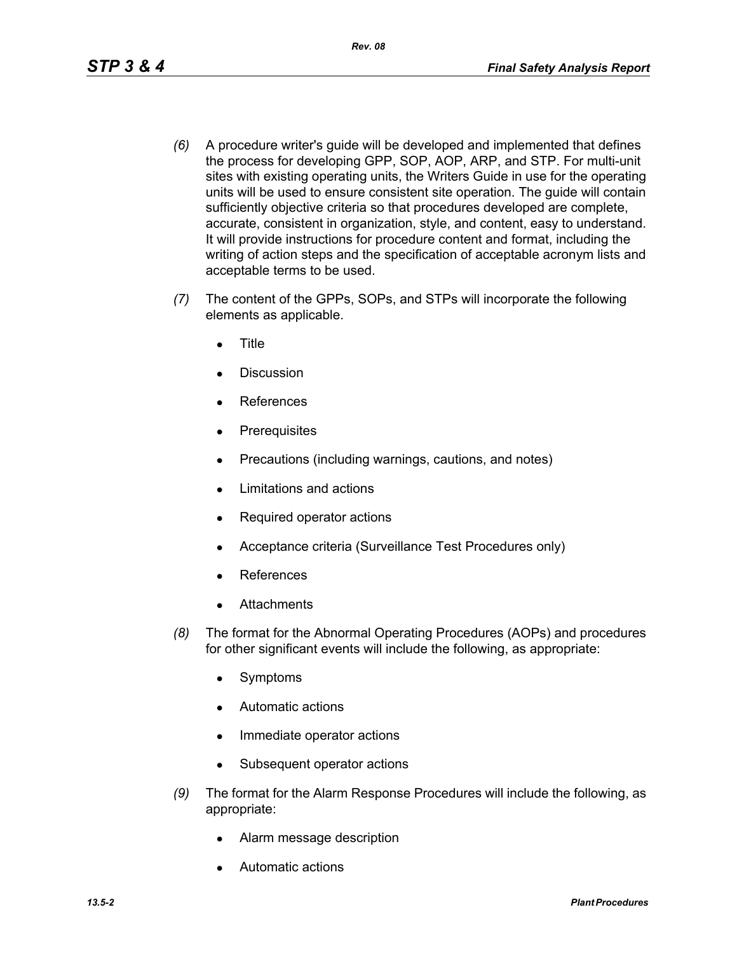- *(6)* A procedure writer's guide will be developed and implemented that defines the process for developing GPP, SOP, AOP, ARP, and STP. For multi-unit sites with existing operating units, the Writers Guide in use for the operating units will be used to ensure consistent site operation. The guide will contain sufficiently objective criteria so that procedures developed are complete, accurate, consistent in organization, style, and content, easy to understand. It will provide instructions for procedure content and format, including the writing of action steps and the specification of acceptable acronym lists and acceptable terms to be used.
- *(7)* The content of the GPPs, SOPs, and STPs will incorporate the following elements as applicable.
	- **Title**
	- Discussion
	- **References**
	- Prerequisites
	- Precautions (including warnings, cautions, and notes)
	- Limitations and actions
	- Required operator actions
	- Acceptance criteria (Surveillance Test Procedures only)
	- **References**
	- **Attachments**
- *(8)* The format for the Abnormal Operating Procedures (AOPs) and procedures for other significant events will include the following, as appropriate:
	- Symptoms
	- Automatic actions
	- Immediate operator actions
	- Subsequent operator actions
- *(9)* The format for the Alarm Response Procedures will include the following, as appropriate:
	- Alarm message description
	- Automatic actions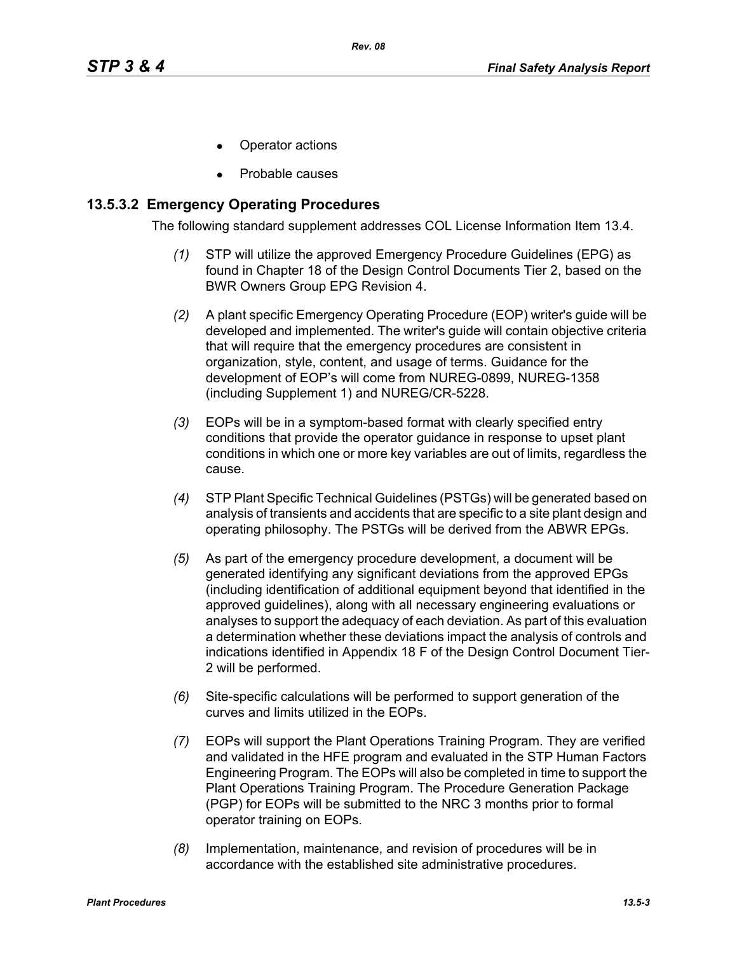- Operator actions
- Probable causes

## **13.5.3.2 Emergency Operating Procedures**

The following standard supplement addresses COL License Information Item 13.4.

- *(1)* STP will utilize the approved Emergency Procedure Guidelines (EPG) as found in Chapter 18 of the Design Control Documents Tier 2, based on the BWR Owners Group EPG Revision 4.
- *(2)* A plant specific Emergency Operating Procedure (EOP) writer's guide will be developed and implemented. The writer's guide will contain objective criteria that will require that the emergency procedures are consistent in organization, style, content, and usage of terms. Guidance for the development of EOP's will come from NUREG-0899, NUREG-1358 (including Supplement 1) and NUREG/CR-5228.
- *(3)* EOPs will be in a symptom-based format with clearly specified entry conditions that provide the operator guidance in response to upset plant conditions in which one or more key variables are out of limits, regardless the cause.
- *(4)* STP Plant Specific Technical Guidelines (PSTGs) will be generated based on analysis of transients and accidents that are specific to a site plant design and operating philosophy. The PSTGs will be derived from the ABWR EPGs.
- *(5)* As part of the emergency procedure development, a document will be generated identifying any significant deviations from the approved EPGs (including identification of additional equipment beyond that identified in the approved guidelines), along with all necessary engineering evaluations or analyses to support the adequacy of each deviation. As part of this evaluation a determination whether these deviations impact the analysis of controls and indications identified in Appendix 18 F of the Design Control Document Tier-2 will be performed.
- *(6)* Site-specific calculations will be performed to support generation of the curves and limits utilized in the EOPs.
- *(7)* EOPs will support the Plant Operations Training Program. They are verified and validated in the HFE program and evaluated in the STP Human Factors Engineering Program. The EOPs will also be completed in time to support the Plant Operations Training Program. The Procedure Generation Package (PGP) for EOPs will be submitted to the NRC 3 months prior to formal operator training on EOPs.
- *(8)* Implementation, maintenance, and revision of procedures will be in accordance with the established site administrative procedures.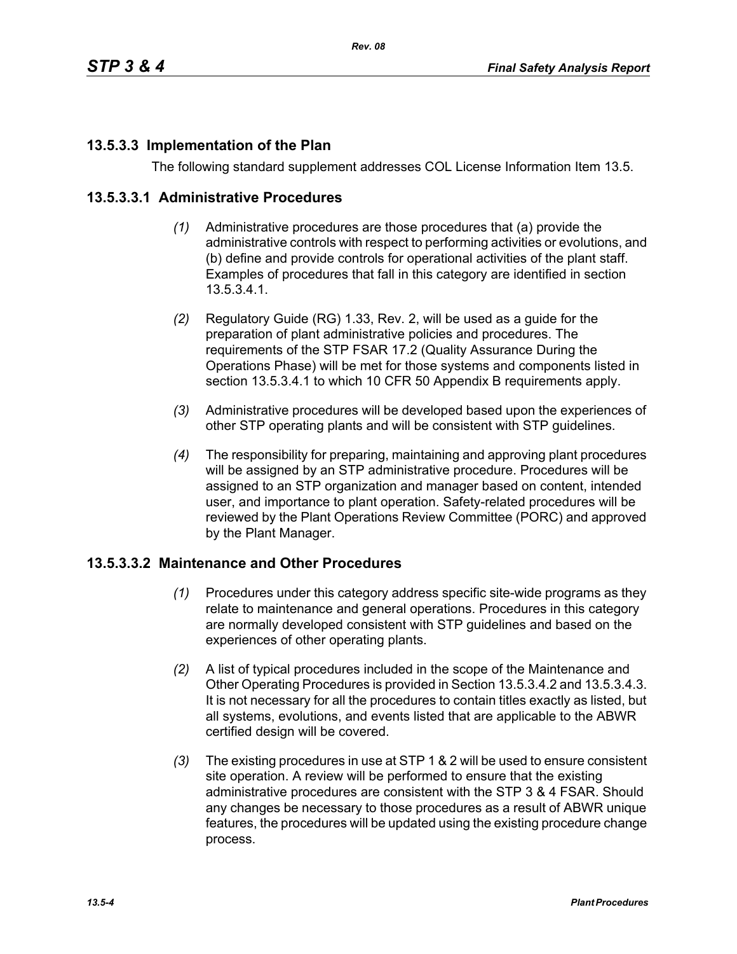# **13.5.3.3 Implementation of the Plan**

The following standard supplement addresses COL License Information Item 13.5.

## **13.5.3.3.1 Administrative Procedures**

- *(1)* Administrative procedures are those procedures that (a) provide the administrative controls with respect to performing activities or evolutions, and (b) define and provide controls for operational activities of the plant staff. Examples of procedures that fall in this category are identified in section 13.5.3.4.1.
- *(2)* Regulatory Guide (RG) 1.33, Rev. 2, will be used as a guide for the preparation of plant administrative policies and procedures. The requirements of the STP FSAR 17.2 (Quality Assurance During the Operations Phase) will be met for those systems and components listed in section 13.5.3.4.1 to which 10 CFR 50 Appendix B requirements apply.
- *(3)* Administrative procedures will be developed based upon the experiences of other STP operating plants and will be consistent with STP guidelines.
- *(4)* The responsibility for preparing, maintaining and approving plant procedures will be assigned by an STP administrative procedure. Procedures will be assigned to an STP organization and manager based on content, intended user, and importance to plant operation. Safety-related procedures will be reviewed by the Plant Operations Review Committee (PORC) and approved by the Plant Manager.

## **13.5.3.3.2 Maintenance and Other Procedures**

- *(1)* Procedures under this category address specific site-wide programs as they relate to maintenance and general operations. Procedures in this category are normally developed consistent with STP guidelines and based on the experiences of other operating plants.
- *(2)* A list of typical procedures included in the scope of the Maintenance and Other Operating Procedures is provided in Section 13.5.3.4.2 and 13.5.3.4.3. It is not necessary for all the procedures to contain titles exactly as listed, but all systems, evolutions, and events listed that are applicable to the ABWR certified design will be covered.
- *(3)* The existing procedures in use at STP 1 & 2 will be used to ensure consistent site operation. A review will be performed to ensure that the existing administrative procedures are consistent with the STP 3 & 4 FSAR. Should any changes be necessary to those procedures as a result of ABWR unique features, the procedures will be updated using the existing procedure change process.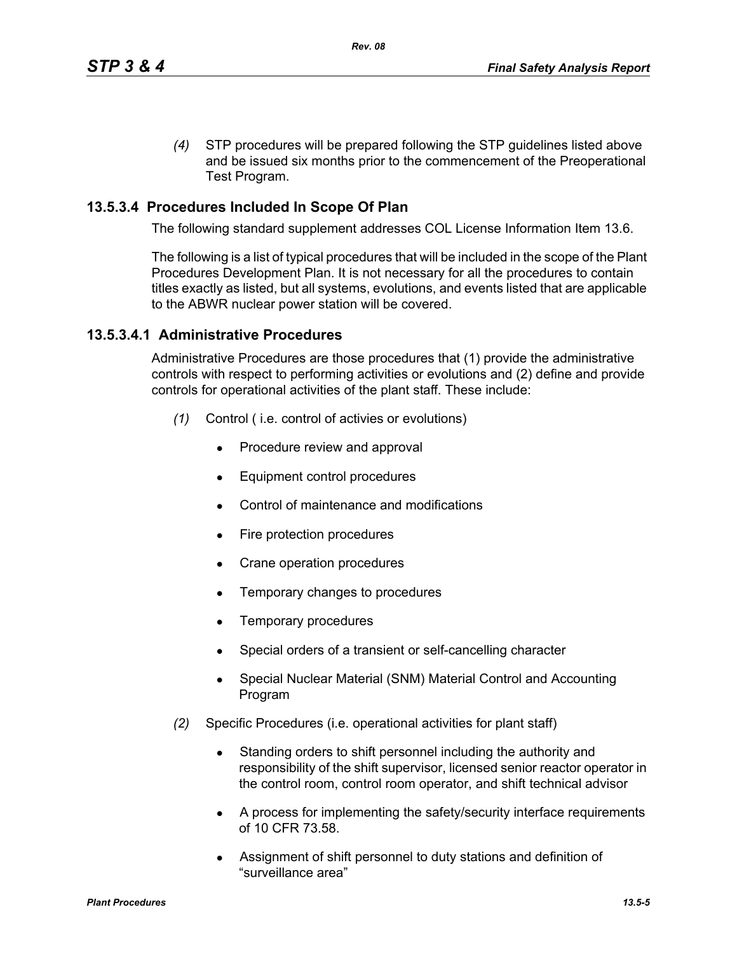*(4)* STP procedures will be prepared following the STP guidelines listed above and be issued six months prior to the commencement of the Preoperational Test Program.

# **13.5.3.4 Procedures Included In Scope Of Plan**

The following standard supplement addresses COL License Information Item 13.6.

The following is a list of typical procedures that will be included in the scope of the Plant Procedures Development Plan. It is not necessary for all the procedures to contain titles exactly as listed, but all systems, evolutions, and events listed that are applicable to the ABWR nuclear power station will be covered.

## **13.5.3.4.1 Administrative Procedures**

Administrative Procedures are those procedures that (1) provide the administrative controls with respect to performing activities or evolutions and (2) define and provide controls for operational activities of the plant staff. These include:

- *(1)* Control ( i.e. control of activies or evolutions)
	- Procedure review and approval
	- Equipment control procedures
	- Control of maintenance and modifications
	- $\bullet$  Fire protection procedures
	- Crane operation procedures
	- Temporary changes to procedures
	- $\bullet$  Temporary procedures
	- Special orders of a transient or self-cancelling character
	- Special Nuclear Material (SNM) Material Control and Accounting Program
- *(2)* Specific Procedures (i.e. operational activities for plant staff)
	- Standing orders to shift personnel including the authority and responsibility of the shift supervisor, licensed senior reactor operator in the control room, control room operator, and shift technical advisor
	- A process for implementing the safety/security interface requirements of 10 CFR 73.58.
	- Assignment of shift personnel to duty stations and definition of "surveillance area"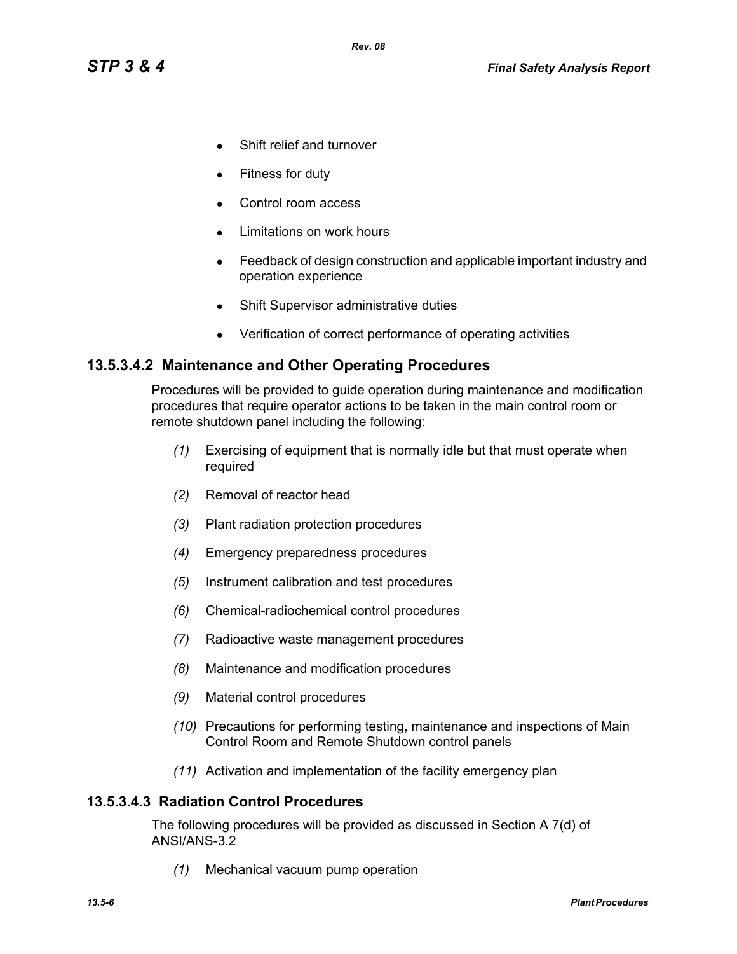- Shift relief and turnover
- Fitness for duty
- Control room access
- Limitations on work hours
- Feedback of design construction and applicable important industry and operation experience
- Shift Supervisor administrative duties
- Verification of correct performance of operating activities

#### **13.5.3.4.2 Maintenance and Other Operating Procedures**

Procedures will be provided to guide operation during maintenance and modification procedures that require operator actions to be taken in the main control room or remote shutdown panel including the following:

- *(1)* Exercising of equipment that is normally idle but that must operate when required
- *(2)* Removal of reactor head
- *(3)* Plant radiation protection procedures
- *(4)* Emergency preparedness procedures
- *(5)* Instrument calibration and test procedures
- *(6)* Chemical-radiochemical control procedures
- *(7)* Radioactive waste management procedures
- *(8)* Maintenance and modification procedures
- *(9)* Material control procedures
- *(10)* Precautions for performing testing, maintenance and inspections of Main Control Room and Remote Shutdown control panels
- *(11)* Activation and implementation of the facility emergency plan

#### **13.5.3.4.3 Radiation Control Procedures**

The following procedures will be provided as discussed in Section A 7(d) of ANSI/ANS-3.2

*(1)* Mechanical vacuum pump operation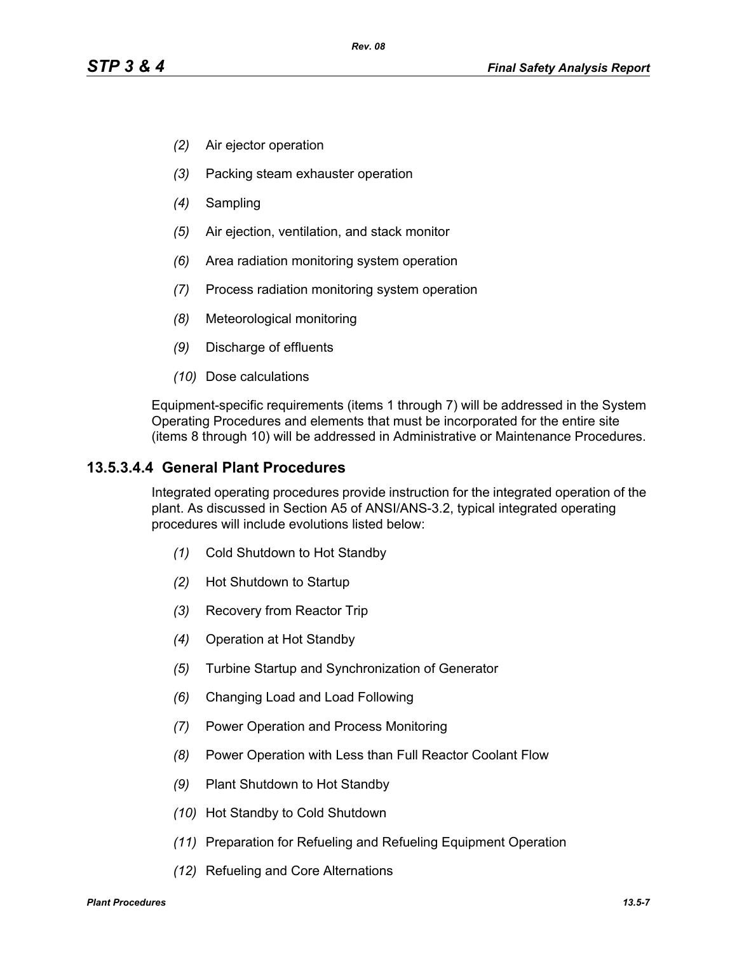- *(2)* Air ejector operation
- *(3)* Packing steam exhauster operation
- *(4)* Sampling
- *(5)* Air ejection, ventilation, and stack monitor
- *(6)* Area radiation monitoring system operation
- *(7)* Process radiation monitoring system operation
- *(8)* Meteorological monitoring
- *(9)* Discharge of effluents
- *(10)* Dose calculations

Equipment-specific requirements (items 1 through 7) will be addressed in the System Operating Procedures and elements that must be incorporated for the entire site (items 8 through 10) will be addressed in Administrative or Maintenance Procedures.

#### **13.5.3.4.4 General Plant Procedures**

Integrated operating procedures provide instruction for the integrated operation of the plant. As discussed in Section A5 of ANSI/ANS-3.2, typical integrated operating procedures will include evolutions listed below:

- *(1)* Cold Shutdown to Hot Standby
- *(2)* Hot Shutdown to Startup
- *(3)* Recovery from Reactor Trip
- *(4)* Operation at Hot Standby
- *(5)* Turbine Startup and Synchronization of Generator
- *(6)* Changing Load and Load Following
- *(7)* Power Operation and Process Monitoring
- *(8)* Power Operation with Less than Full Reactor Coolant Flow
- *(9)* Plant Shutdown to Hot Standby
- *(10)* Hot Standby to Cold Shutdown
- *(11)* Preparation for Refueling and Refueling Equipment Operation
- *(12)* Refueling and Core Alternations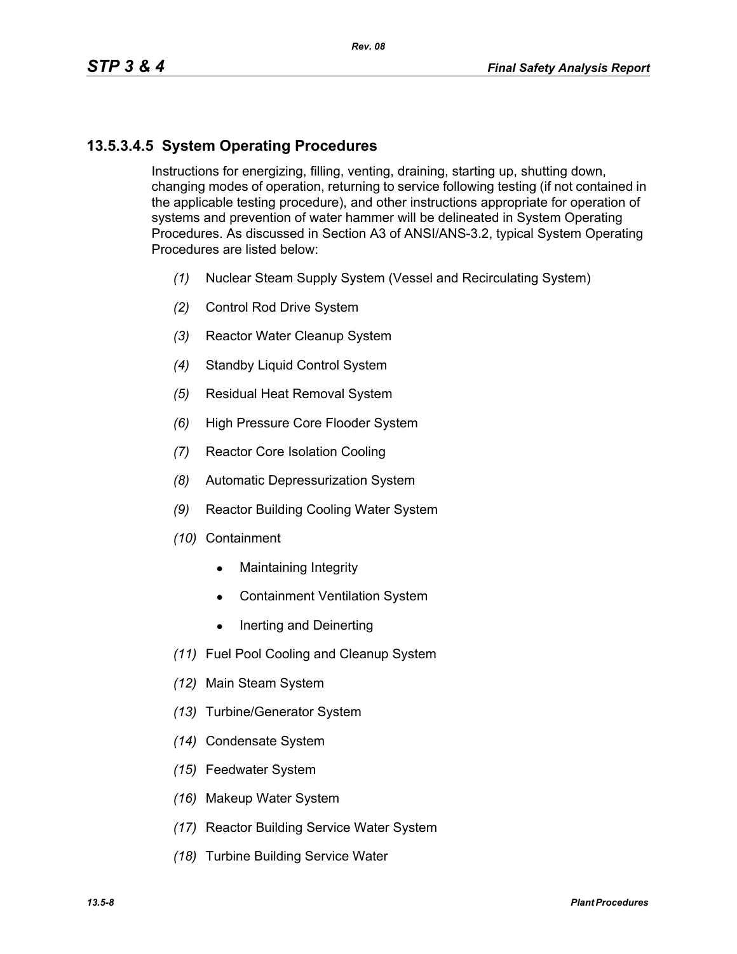# **13.5.3.4.5 System Operating Procedures**

Instructions for energizing, filling, venting, draining, starting up, shutting down, changing modes of operation, returning to service following testing (if not contained in the applicable testing procedure), and other instructions appropriate for operation of systems and prevention of water hammer will be delineated in System Operating Procedures. As discussed in Section A3 of ANSI/ANS-3.2, typical System Operating Procedures are listed below:

- *(1)* Nuclear Steam Supply System (Vessel and Recirculating System)
- *(2)* Control Rod Drive System
- *(3)* Reactor Water Cleanup System
- *(4)* Standby Liquid Control System
- *(5)* Residual Heat Removal System
- *(6)* High Pressure Core Flooder System
- *(7)* Reactor Core Isolation Cooling
- *(8)* Automatic Depressurization System
- *(9)* Reactor Building Cooling Water System
- *(10)* Containment
	- $\bullet$  Maintaining Integrity
	- Containment Ventilation System
	- $\bullet$  Inerting and Deinerting
- *(11)* Fuel Pool Cooling and Cleanup System
- *(12)* Main Steam System
- *(13)* Turbine/Generator System
- *(14)* Condensate System
- *(15)* Feedwater System
- *(16)* Makeup Water System
- *(17)* Reactor Building Service Water System
- *(18)* Turbine Building Service Water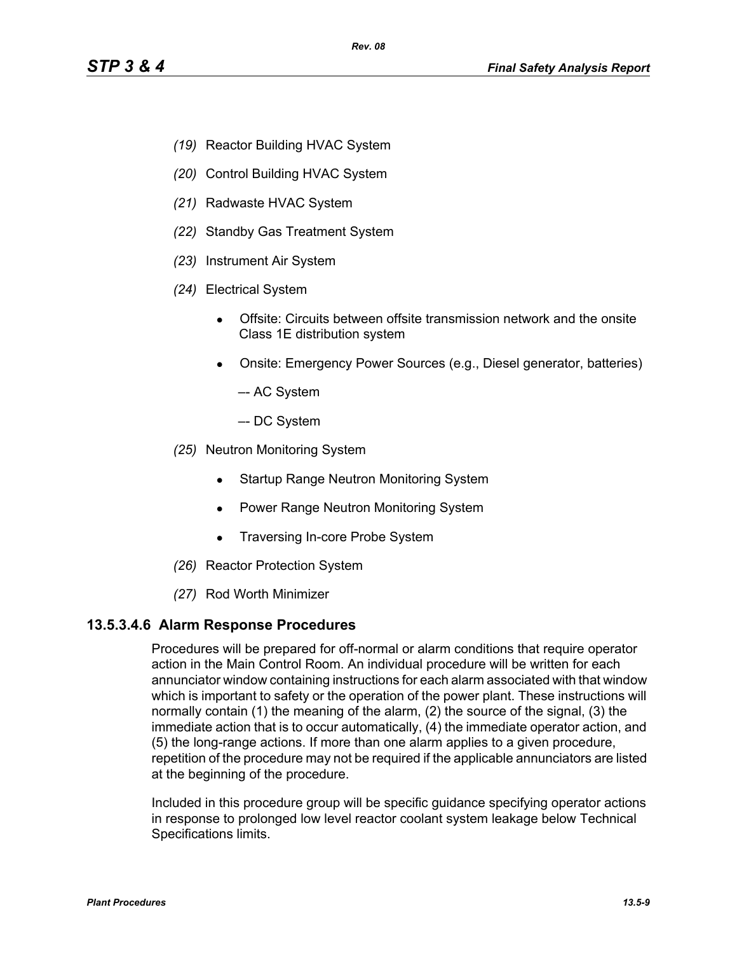- *(19)* Reactor Building HVAC System
- *(20)* Control Building HVAC System
- *(21)* Radwaste HVAC System
- *(22)* Standby Gas Treatment System
- *(23)* Instrument Air System
- *(24)* Electrical System
	- Offsite: Circuits between offsite transmission network and the onsite Class 1E distribution system
	- Onsite: Emergency Power Sources (e.g., Diesel generator, batteries)
		- –- AC System
		- –- DC System
- *(25)* Neutron Monitoring System
	- Startup Range Neutron Monitoring System
	- Power Range Neutron Monitoring System
	- Traversing In-core Probe System
- *(26)* Reactor Protection System
- *(27)* Rod Worth Minimizer

#### **13.5.3.4.6 Alarm Response Procedures**

Procedures will be prepared for off-normal or alarm conditions that require operator action in the Main Control Room. An individual procedure will be written for each annunciator window containing instructions for each alarm associated with that window which is important to safety or the operation of the power plant. These instructions will normally contain (1) the meaning of the alarm, (2) the source of the signal, (3) the immediate action that is to occur automatically, (4) the immediate operator action, and (5) the long-range actions. If more than one alarm applies to a given procedure, repetition of the procedure may not be required if the applicable annunciators are listed at the beginning of the procedure.

Included in this procedure group will be specific guidance specifying operator actions in response to prolonged low level reactor coolant system leakage below Technical Specifications limits.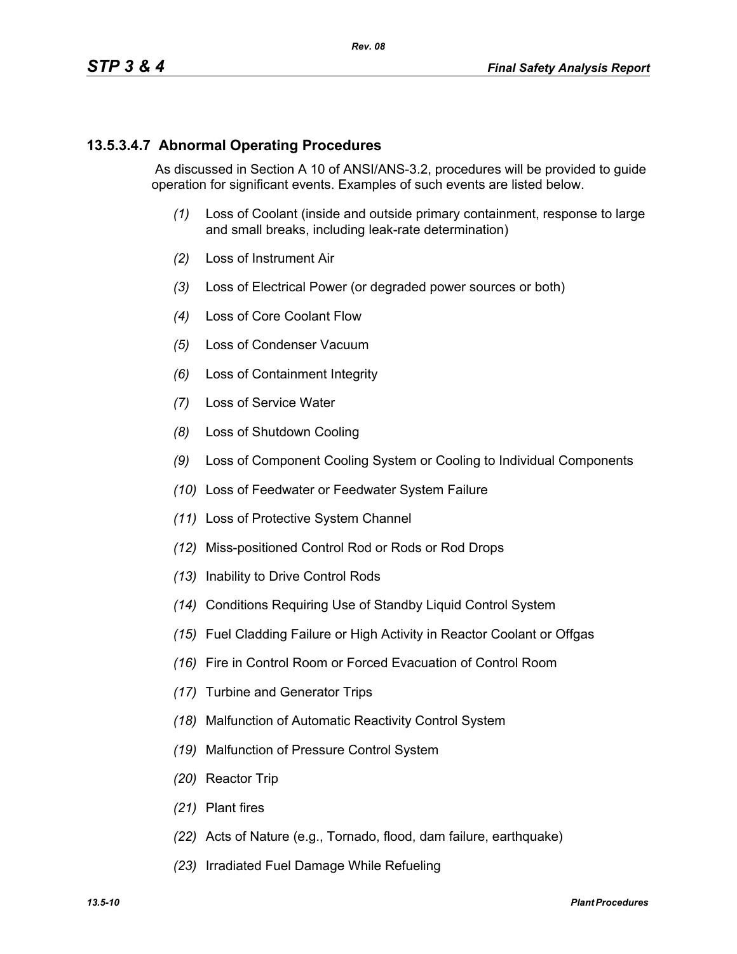## **13.5.3.4.7 Abnormal Operating Procedures**

 As discussed in Section A 10 of ANSI/ANS-3.2, procedures will be provided to guide operation for significant events. Examples of such events are listed below.

- *(1)* Loss of Coolant (inside and outside primary containment, response to large and small breaks, including leak-rate determination)
- *(2)* Loss of Instrument Air
- *(3)* Loss of Electrical Power (or degraded power sources or both)
- *(4)* Loss of Core Coolant Flow
- *(5)* Loss of Condenser Vacuum
- *(6)* Loss of Containment Integrity
- *(7)* Loss of Service Water
- *(8)* Loss of Shutdown Cooling
- *(9)* Loss of Component Cooling System or Cooling to Individual Components
- *(10)* Loss of Feedwater or Feedwater System Failure
- *(11)* Loss of Protective System Channel
- *(12)* Miss-positioned Control Rod or Rods or Rod Drops
- *(13)* Inability to Drive Control Rods
- *(14)* Conditions Requiring Use of Standby Liquid Control System
- *(15)* Fuel Cladding Failure or High Activity in Reactor Coolant or Offgas
- *(16)* Fire in Control Room or Forced Evacuation of Control Room
- *(17)* Turbine and Generator Trips
- *(18)* Malfunction of Automatic Reactivity Control System
- *(19)* Malfunction of Pressure Control System
- *(20)* Reactor Trip
- *(21)* Plant fires
- *(22)* Acts of Nature (e.g., Tornado, flood, dam failure, earthquake)
- *(23)* Irradiated Fuel Damage While Refueling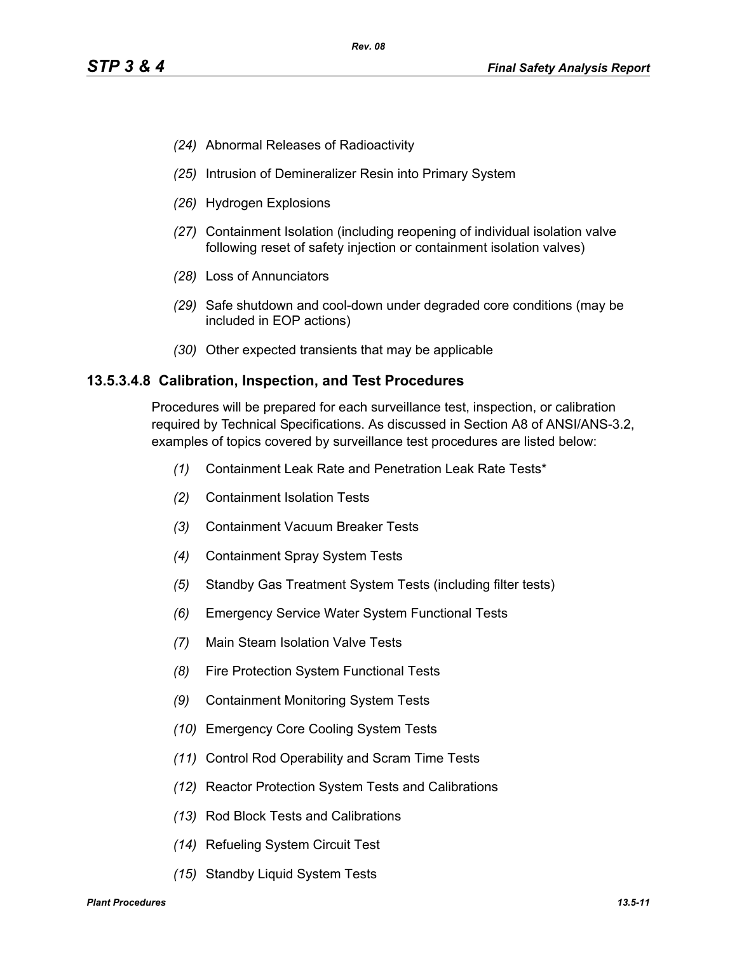- *(24)* Abnormal Releases of Radioactivity
- *(25)* Intrusion of Demineralizer Resin into Primary System
- *(26)* Hydrogen Explosions
- *(27)* Containment Isolation (including reopening of individual isolation valve following reset of safety injection or containment isolation valves)
- *(28)* Loss of Annunciators
- *(29)* Safe shutdown and cool-down under degraded core conditions (may be included in EOP actions)
- *(30)* Other expected transients that may be applicable

#### **13.5.3.4.8 Calibration, Inspection, and Test Procedures**

Procedures will be prepared for each surveillance test, inspection, or calibration required by Technical Specifications. As discussed in Section A8 of ANSI/ANS-3.2, examples of topics covered by surveillance test procedures are listed below:

- *(1)* Containment Leak Rate and Penetration Leak Rate Tests\*
- *(2)* Containment Isolation Tests
- *(3)* Containment Vacuum Breaker Tests
- *(4)* Containment Spray System Tests
- *(5)* Standby Gas Treatment System Tests (including filter tests)
- *(6)* Emergency Service Water System Functional Tests
- *(7)* Main Steam Isolation Valve Tests
- *(8)* Fire Protection System Functional Tests
- *(9)* Containment Monitoring System Tests
- *(10)* Emergency Core Cooling System Tests
- *(11)* Control Rod Operability and Scram Time Tests
- *(12)* Reactor Protection System Tests and Calibrations
- *(13)* Rod Block Tests and Calibrations
- *(14)* Refueling System Circuit Test
- *(15)* Standby Liquid System Tests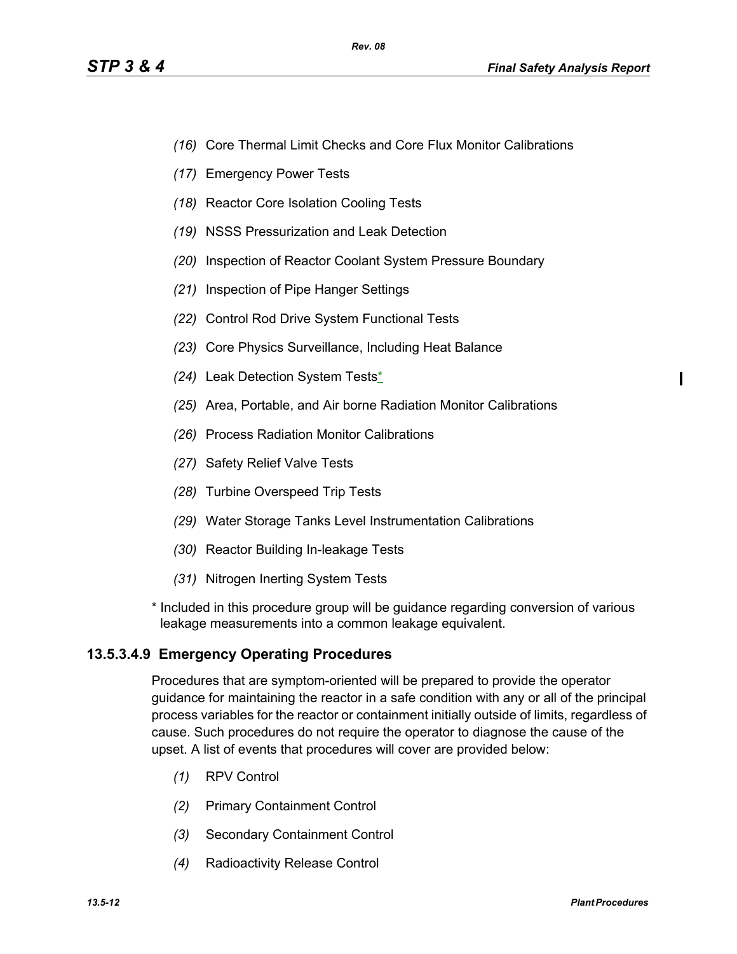ı

- *(16)* Core Thermal Limit Checks and Core Flux Monitor Calibrations
- *(17)* Emergency Power Tests
- *(18)* Reactor Core Isolation Cooling Tests
- *(19)* NSSS Pressurization and Leak Detection
- *(20)* Inspection of Reactor Coolant System Pressure Boundary
- *(21)* Inspection of Pipe Hanger Settings
- *(22)* Control Rod Drive System Functional Tests
- *(23)* Core Physics Surveillance, Including Heat Balance
- (24) Leak Detection System Tests<sup>\*</sup>
- *(25)* Area, Portable, and Air borne Radiation Monitor Calibrations
- *(26)* Process Radiation Monitor Calibrations
- *(27)* Safety Relief Valve Tests
- *(28)* Turbine Overspeed Trip Tests
- *(29)* Water Storage Tanks Level Instrumentation Calibrations
- *(30)* Reactor Building In-leakage Tests
- *(31)* Nitrogen Inerting System Tests
- \* Included in this procedure group will be guidance regarding conversion of various leakage measurements into a common leakage equivalent.

## **13.5.3.4.9 Emergency Operating Procedures**

Procedures that are symptom-oriented will be prepared to provide the operator guidance for maintaining the reactor in a safe condition with any or all of the principal process variables for the reactor or containment initially outside of limits, regardless of cause. Such procedures do not require the operator to diagnose the cause of the upset. A list of events that procedures will cover are provided below:

- *(1)* RPV Control
- *(2)* Primary Containment Control
- *(3)* Secondary Containment Control
- *(4)* Radioactivity Release Control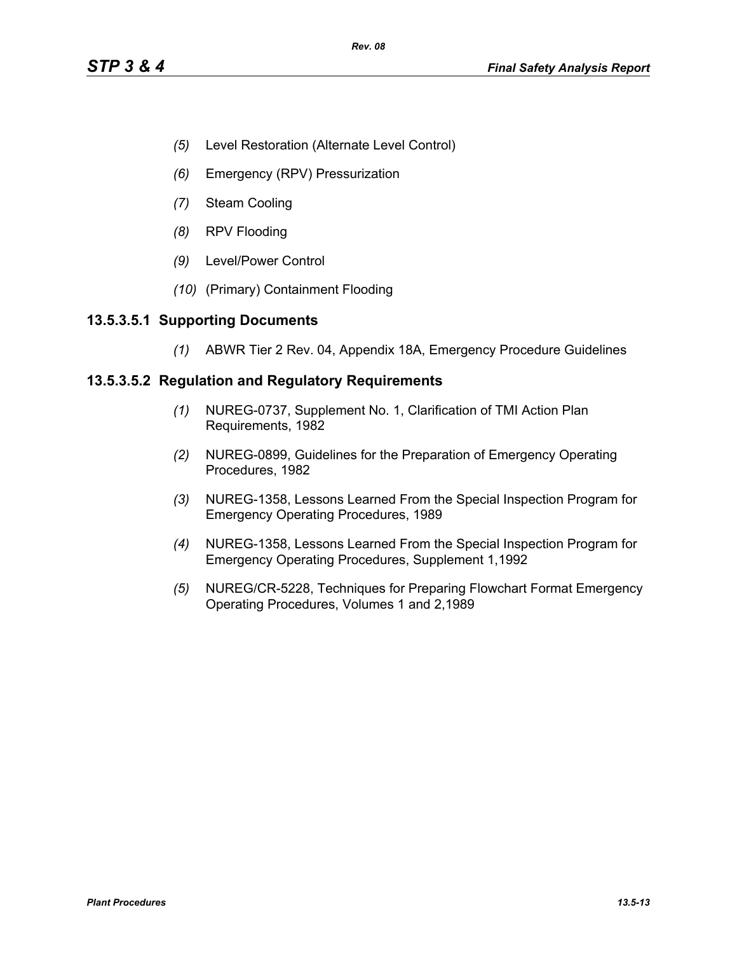- *(5)* Level Restoration (Alternate Level Control)
- *(6)* Emergency (RPV) Pressurization
- *(7)* Steam Cooling
- *(8)* RPV Flooding
- *(9)* Level/Power Control
- *(10)* (Primary) Containment Flooding

#### **13.5.3.5.1 Supporting Documents**

*(1)* ABWR Tier 2 Rev. 04, Appendix 18A, Emergency Procedure Guidelines

#### **13.5.3.5.2 Regulation and Regulatory Requirements**

- *(1)* NUREG-0737, Supplement No. 1, Clarification of TMI Action Plan Requirements, 1982
- *(2)* NUREG-0899, Guidelines for the Preparation of Emergency Operating Procedures, 1982
- *(3)* NUREG-1358, Lessons Learned From the Special Inspection Program for Emergency Operating Procedures, 1989
- *(4)* NUREG-1358, Lessons Learned From the Special Inspection Program for Emergency Operating Procedures, Supplement 1,1992
- *(5)* NUREG/CR-5228, Techniques for Preparing Flowchart Format Emergency Operating Procedures, Volumes 1 and 2,1989